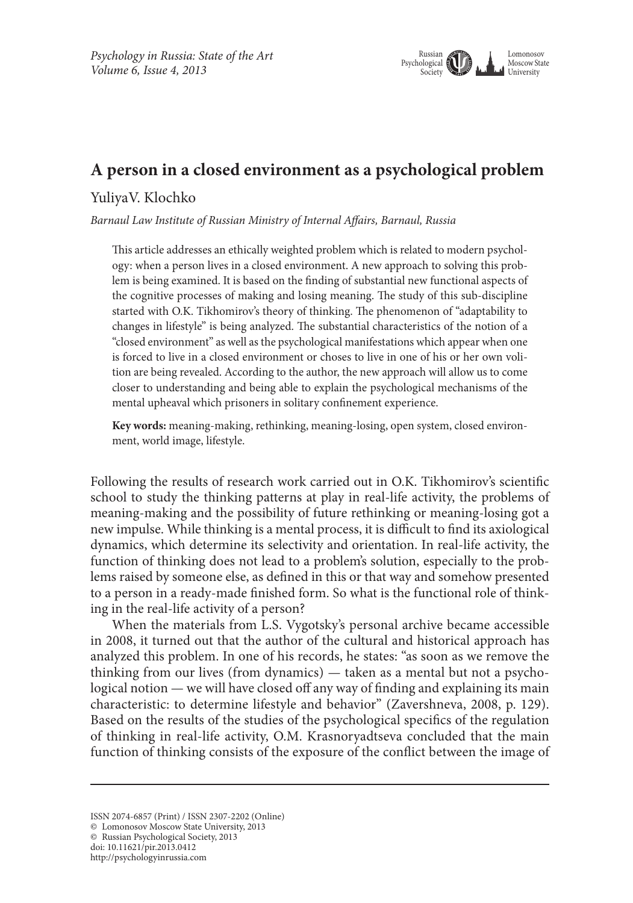

## **A person in a closed environment as a psychological problem**

## YuliyaV. Klochko

*Barnaul Law Institute of Russian Ministry of Internal Affairs, Barnaul, Russia*

This article addresses an ethically weighted problem which is related to modern psychology: when a person lives in a closed environment. A new approach to solving this problem is being examined. It is based on the finding of substantial new functional aspects of the cognitive processes of making and losing meaning. The study of this sub-discipline started with O.K. Tikhomirov's theory of thinking. The phenomenon of "adaptability to changes in lifestyle" is being analyzed. The substantial characteristics of the notion of a "closed environment" as well as the psychological manifestations which appear when one is forced to live in a closed environment or choses to live in one of his or her own volition are being revealed. According to the author, the new approach will allow us to come closer to understanding and being able to explain the psychological mechanisms of the mental upheaval which prisoners in solitary confinement experience.

**Key words:** meaning-making, rethinking, meaning-losing, open system, closed environment, world image, lifestyle.

Following the results of research work carried out in O.K. Tikhomirov's scientific school to study the thinking patterns at play in real-life activity, the problems of meaning-making and the possibility of future rethinking or meaning-losing got a new impulse. While thinking is a mental process, it is difficult to find its axiological dynamics, which determine its selectivity and orientation. In real-life activity, the function of thinking does not lead to a problem's solution, especially to the problems raised by someone else, as defined in this or that way and somehow presented to a person in a ready-made finished form. So what is the functional role of thinking in the real-life activity of a person?

When the materials from L.S. Vygotsky's personal archive became accessible in 2008, it turned out that the author of the cultural and historical approach has analyzed this problem. In one of his records, he states: "as soon as we remove the thinking from our lives (from dynamics) — taken as a mental but not a psychological notion — we will have closed off any way of finding and explaining its main characteristic: to determine lifestyle and behavior" (Zavershneva, 2008, p. 129). Based on the results of the studies of the psychological specifics of the regulation of thinking in real-life activity, O.M. Krasnoryadtseva concluded that the main function of thinking consists of the exposure of the conflict between the image of

© Russian Psychological Society, 2013 doi: 10.11621/pir.2013.0412

ISSN 2074-6857 (Print) / ISSN 2307-2202 (Online)

<sup>©</sup> Lomonosov Moscow State University, 2013

http://psychologyinrussia.com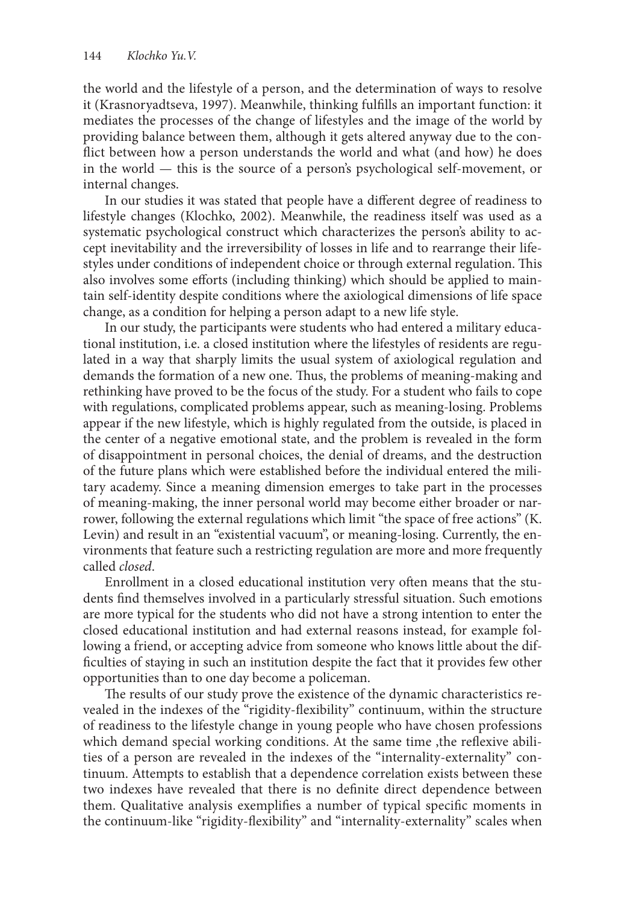the world and the lifestyle of a person, and the determination of ways to resolve it (Krasnoryadtseva, 1997). Meanwhile, thinking fulfills an important function: it mediates the processes of the change of lifestyles and the image of the world by providing balance between them, although it gets altered anyway due to the conflict between how a person understands the world and what (and how) he does in the world — this is the source of a person's psychological self-movement, or internal changes.

In our studies it was stated that people have a different degree of readiness to lifestyle changes (Кlochko, 2002). Meanwhile, the readiness itself was used as a systematic psychological construct which characterizes the person's ability to accept inevitability and the irreversibility of losses in life and to rearrange their lifestyles under conditions of independent choice or through external regulation. This also involves some efforts (including thinking) which should be applied to maintain self-identity despite conditions where the axiological dimensions of life space change, as a condition for helping a person adapt to a new life style.

In our study, the participants were students who had entered a military educational institution, i.e. a closed institution where the lifestyles of residents are regulated in a way that sharply limits the usual system of axiological regulation and demands the formation of a new one. Thus, the problems of meaning-making and rethinking have proved to be the focus of the study. For a student who fails to cope with regulations, complicated problems appear, such as meaning-losing. Problems appear if the new lifestyle, which is highly regulated from the outside, is placed in the center of a negative emotional state, and the problem is revealed in the form of disappointment in personal choices, the denial of dreams, and the destruction of the future plans which were established before the individual entered the military academy. Since a meaning dimension emerges to take part in the processes of meaning-making, the inner personal world may become either broader or narrower, following the external regulations which limit "the space of free actions" (K. Levin) and result in an "existential vacuum", or meaning-losing. Currently, the environments that feature such a restricting regulation are more and more frequently called *closed*.

Enrollment in a closed educational institution very often means that the students find themselves involved in a particularly stressful situation. Such emotions are more typical for the students who did not have a strong intention to enter the closed educational institution and had external reasons instead, for example following a friend, or accepting advice from someone who knows little about the difficulties of staying in such an institution despite the fact that it provides few other opportunities than to one day become a policeman.

The results of our study prove the existence of the dynamic characteristics revealed in the indexes of the "rigidity-flexibility" continuum, within the structure of readiness to the lifestyle change in young people who have chosen professions which demand special working conditions. At the same time, the reflexive abilities of a person are revealed in the indexes of the "internality-externality" continuum. Attempts to establish that a dependence correlation exists between these two indexes have revealed that there is no definite direct dependence between them. Qualitative analysis exemplifies a number of typical specific moments in the continuum-like "rigidity-flexibility" and "internality-externality" scales when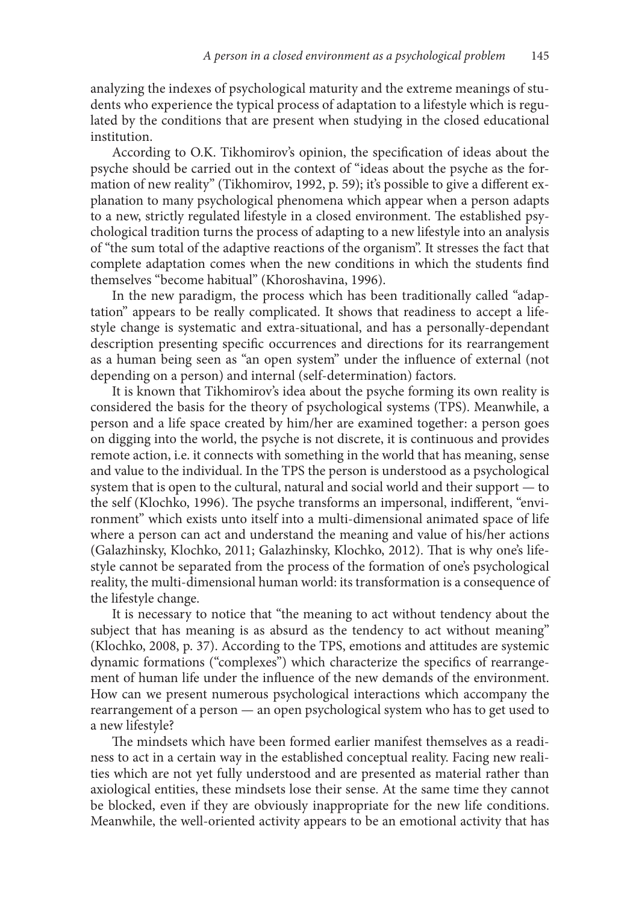analyzing the indexes of psychological maturity and the extreme meanings of students who experience the typical process of adaptation to a lifestyle which is regulated by the conditions that are present when studying in the closed educational institution.

According to O.K. Tikhomirov's opinion, the specification of ideas about the psyche should be carried out in the context of "ideas about the psyche as the formation of new reality" (Tikhomirov, 1992, p. 59); it's possible to give a different explanation to many psychological phenomena which appear when a person adapts to a new, strictly regulated lifestyle in a closed environment. The established psychological tradition turns the process of adapting to a new lifestyle into an analysis of "the sum total of the adaptive reactions of the organism". It stresses the fact that complete adaptation comes when the new conditions in which the students find themselves "become habitual" (Khoroshavina, 1996).

In the new paradigm, the process which has been traditionally called "adaptation" appears to be really complicated. It shows that readiness to accept a lifestyle change is systematic and extra-situational, and has a personally-dependant description presenting specific occurrences and directions for its rearrangement as a human being seen as "an open system" under the influence of external (not depending on a person) and internal (self-determination) factors.

It is known that Tikhomirov's idea about the psyche forming its own reality is considered the basis for the theory of psychological systems (TPS). Meanwhile, a person and a life space created by him/her are examined together: a person goes on digging into the world, the psyche is not discrete, it is continuous and provides remote action, i.e. it connects with something in the world that has meaning, sense and value to the individual. In the TPS the person is understood as a psychological system that is open to the cultural, natural and social world and their support — to the self (Klochko, 1996). The psyche transforms an impersonal, indifferent, "environment" which exists unto itself into a multi-dimensional animated space of life where a person can act and understand the meaning and value of his/her actions (Galazhinsky, Klochko, 2011; Galazhinsky, Klochko, 2012). That is why one's lifestyle cannot be separated from the process of the formation of one's psychological reality, the multi-dimensional human world: its transformation is a consequence of the lifestyle change.

It is necessary to notice that "the meaning to act without tendency about the subject that has meaning is as absurd as the tendency to act without meaning" (Klochko, 2008, p. 37). According to the TPS, emotions and attitudes are systemic dynamic formations ("complexes") which characterize the specifics of rearrangement of human life under the influence of the new demands of the environment. How can we present numerous psychological interactions which accompany the rearrangement of a person — an open psychological system who has to get used to a new lifestyle?

The mindsets which have been formed earlier manifest themselves as a readiness to act in a certain way in the established conceptual reality. Facing new realities which are not yet fully understood and are presented as material rather than axiological entities, these mindsets lose their sense. At the same time they cannot be blocked, even if they are obviously inappropriate for the new life conditions. Meanwhile, the well-oriented activity appears to be an emotional activity that has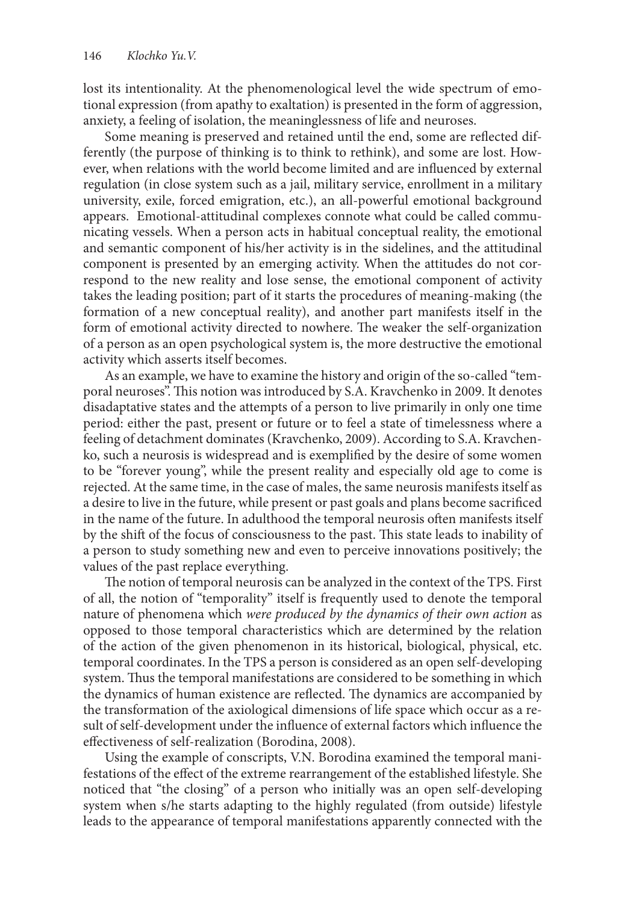lost its intentionality. At the phenomenological level the wide spectrum of emotional expression (from apathy to exaltation) is presented in the form of aggression, anxiety, a feeling of isolation, the meaninglessness of life and neuroses.

Some meaning is preserved and retained until the end, some are reflected differently (the purpose of thinking is to think to rethink), and some are lost. However, when relations with the world become limited and are influenced by external regulation (in close system such as a jail, military service, enrollment in a military university, exile, forced emigration, etc.), an all-powerful emotional background appears. Emotional-attitudinal complexes connote what could be called communicating vessels. When a person acts in habitual conceptual reality, the emotional and semantic component of his/her activity is in the sidelines, and the attitudinal component is presented by an emerging activity. When the attitudes do not correspond to the new reality and lose sense, the emotional component of activity takes the leading position; part of it starts the procedures of meaning-making (the formation of a new conceptual reality), and another part manifests itself in the form of emotional activity directed to nowhere. The weaker the self-organization of a person as an open psychological system is, the more destructive the emotional activity which asserts itself becomes.

As an example, we have to examine the history and origin of the so-called "temporal neuroses". This notion was introduced by S.A. Kravchenko in 2009. It denotes disadaptative states and the attempts of a person to live primarily in only one time period: either the past, present or future or to feel a state of timelessness where a feeling of detachment dominates (Kravchenko, 2009). According to S.A. Kravchenko, such a neurosis is widespread and is exemplified by the desire of some women to be "forever young", while the present reality and especially old age to come is rejected. At the same time, in the case of males, the same neurosis manifests itself as a desire to live in the future, while present or past goals and plans become sacrificed in the name of the future. In adulthood the temporal neurosis often manifests itself by the shift of the focus of consciousness to the past. This state leads to inability of a person to study something new and even to perceive innovations positively; the values of the past replace everything.

The notion of temporal neurosis can be analyzed in the context of the TPS. First of all, the notion of "temporality" itself is frequently used to denote the temporal nature of phenomena which *were produced by the dynamics of their own action* as opposed to those temporal characteristics which are determined by the relation of the action of the given phenomenon in its historical, biological, physical, etc. temporal coordinates. In the TPS a person is considered as an open self-developing system. Thus the temporal manifestations are considered to be something in which the dynamics of human existence are reflected. The dynamics are accompanied by the transformation of the axiological dimensions of life space which occur as a result of self-development under the influence of external factors which influence the effectiveness of self-realization (Borodina, 2008).

Using the example of conscripts, V.N. Borodina examined the temporal manifestations of the effect of the extreme rearrangement of the established lifestyle. She noticed that "the closing" of a person who initially was an open self-developing system when s/he starts adapting to the highly regulated (from outside) lifestyle leads to the appearance of temporal manifestations apparently connected with the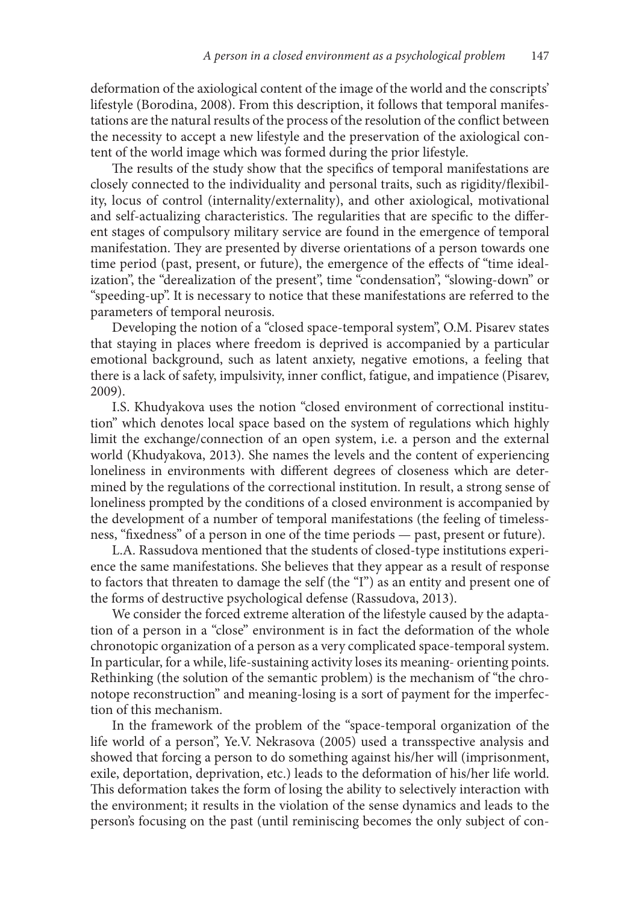deformation of the axiological content of the image of the world and the conscripts' lifestyle (Borodina, 2008). From this description, it follows that temporal manifestations are the natural results of the process of the resolution of the conflict between the necessity to accept a new lifestyle and the preservation of the axiological content of the world image which was formed during the prior lifestyle.

The results of the study show that the specifics of temporal manifestations are closely connected to the individuality and personal traits, such as rigidity/flexibility, locus of control (internality/externality), and other axiological, motivational and self-actualizing characteristics. The regularities that are specific to the different stages of compulsory military service are found in the emergence of temporal manifestation. They are presented by diverse orientations of a person towards one time period (past, present, or future), the emergence of the effects of "time idealization", the "derealization of the present", time "condensation", "slowing-down" or "speeding-up". It is necessary to notice that these manifestations are referred to the parameters of temporal neurosis.

Developing the notion of a "closed space-temporal system", O.M. Pisarev states that staying in places where freedom is deprived is accompanied by a particular emotional background, such as latent anxiety, negative emotions, a feeling that there is a lack of safety, impulsivity, inner conflict, fatigue, and impatience (Pisarev, 2009).

I.S. Khudyakova uses the notion "closed environment of correctional institution" which denotes local space based on the system of regulations which highly limit the exchange/connection of an open system, i.e. a person and the external world (Khudyakova, 2013). She names the levels and the content of experiencing loneliness in environments with different degrees of closeness which are determined by the regulations of the correctional institution. In result, a strong sense of loneliness prompted by the conditions of a closed environment is accompanied by the development of a number of temporal manifestations (the feeling of timelessness, "fixedness" of a person in one of the time periods — past, present or future).

L.A. Rassudova mentioned that the students of closed-type institutions experience the same manifestations. She believes that they appear as a result of response to factors that threaten to damage the self (the "I") as an entity and present one of the forms of destructive psychological defense (Rassudova, 2013).

We consider the forced extreme alteration of the lifestyle caused by the adaptation of a person in a "close" environment is in fact the deformation of the whole chronotopic organization of a person as a very complicated space-temporal system. In particular, for a while, life-sustaining activity loses its meaning- orienting points. Rethinking (the solution of the semantic problem) is the mechanism of "the chronotope reconstruction" and meaning-losing is a sort of payment for the imperfection of this mechanism.

In the framework of the problem of the "space-temporal organization of the life world of a person", Ye.V. Nekrasova (2005) used a transspective analysis and showed that forcing a person to do something against his/her will (imprisonment, exile, deportation, deprivation, etc.) leads to the deformation of his/her life world. This deformation takes the form of losing the ability to selectively interaction with the environment; it results in the violation of the sense dynamics and leads to the person's focusing on the past (until reminiscing becomes the only subject of con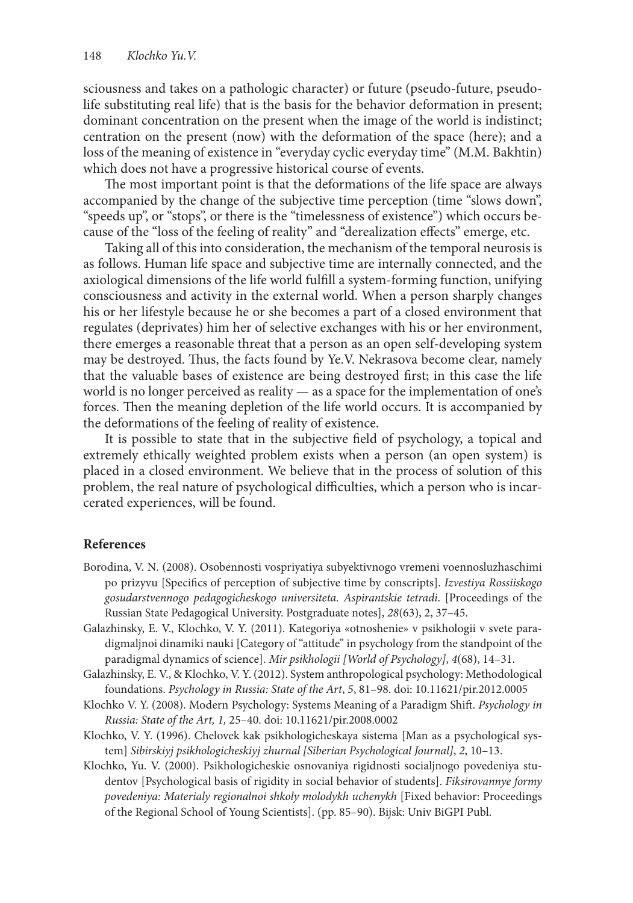sciousness and takes on a pathologic character) or future (pseudo-future, pseudolife substituting real life) that is the basis for the behavior deformation in present; dominant concentration on the present when the image of the world is indistinct; centration on the present (now) with the deformation of the space (here); and a loss of the meaning of existence in "everyday cyclic everyday time" (M.M. Bakhtin) which does not have a progressive historical course of events.

The most important point is that the deformations of the life space are always accompanied by the change of the subjective time perception (time "slows down", "speeds up", or "stops", or there is the "timelessness of existence") which occurs because of the "loss of the feeling of reality" and "derealization effects" emerge, etc.

Taking all of this into consideration, the mechanism of the temporal neurosis is as follows. Human life space and subjective time are internally connected, and the axiological dimensions of the life world fulfill a system-forming function, unifying consciousness and activity in the external world. When a person sharply changes his or her lifestyle because he or she becomes a part of a closed environment that regulates (deprivates) him her of selective exchanges with his or her environment, there emerges a reasonable threat that a person as an open self-developing system may be destroyed. Thus, the facts found by Ye.V. Nekrasova become clear, namely that the valuable bases of existence are being destroyed first; in this case the life world is no longer perceived as reality — as a space for the implementation of one's forces. Then the meaning depletion of the life world occurs. It is accompanied by the deformations of the feeling of reality of existence.

It is possible to state that in the subjective field of psychology, a topical and extremely ethically weighted problem exists when a person (an open system) is placed in a closed environment. We believe that in the process of solution of this problem, the real nature of psychological difficulties, which a person who is incarcerated experiences, will be found.

## **References**

- Borodina, V. N. (2008). Osobennosti vospriyatiya subyektivnogo vremeni voennosluzhaschimi po prizyvu [Specifics of perception of subjective time by conscripts]. *Izvestiya Rossiiskogo gosudarstvennogo pedagogicheskogo universiteta. Aspirantskie tetradi*. [Proceedings of the Russian State Pedagogical University. Postgraduate notes], *28*(63), 2, 37–45.
- Galazhinsky, E. V., Klochko, V. Y. (2011). Kategoriya «otnoshenie» v psikhologii v svete paradigmaljnoi dinamiki nauki [Category of "attitude" in psychology from the standpoint of the paradigmal dynamics of science]. *Mir psikhologii [World of Psychology]*, *4*(68), 14–31.
- Galazhinsky, E. V., & Klochko, V. Y. (2012). System anthropological psychology: Methodological foundations. *Psychology in Russia: State of the Art*, *5*, 81–98. doi: 10.11621/pir.2012.0005
- Klochko V. Y. (2008). Modern Psychology: Systems Meaning of a Paradigm Shift. *Psychology in Russia: State of the Art, 1,* 25–40. doi: 10.11621/pir.2008.0002
- Klochko, V. Y. (1996). Chelovek kak psikhologicheskaya sistema [Man as a psychological system] *Sibirskiyj psikhologicheskiyj zhurnal [Siberian Psychological Journal]*, *2*, 10–13.
- Klochko, Yu. V. (2000). Psikhologicheskie osnovaniya rigidnosti socialjnogo povedeniya studentov [Psychological basis of rigidity in social behavior of students]. *Fiksirovannye formy povedeniya: Materialy regionalnoi shkoly molodykh uchenykh* [Fixed behavior: Proceedings of the Regional School of Young Scientists]. (pp. 85–90). Bijsk: Univ BiGPI Publ.